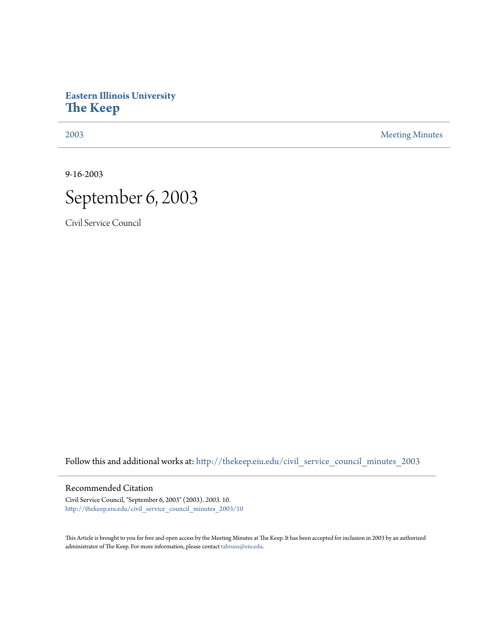## **Eastern Illinois University [The Keep](http://thekeep.eiu.edu?utm_source=thekeep.eiu.edu%2Fcivil_service_council_minutes_2003%2F10&utm_medium=PDF&utm_campaign=PDFCoverPages)**

[2003](http://thekeep.eiu.edu/civil_service_council_minutes_2003?utm_source=thekeep.eiu.edu%2Fcivil_service_council_minutes_2003%2F10&utm_medium=PDF&utm_campaign=PDFCoverPages) [Meeting Minutes](http://thekeep.eiu.edu/civil_service_council_minutes?utm_source=thekeep.eiu.edu%2Fcivil_service_council_minutes_2003%2F10&utm_medium=PDF&utm_campaign=PDFCoverPages)

9-16-2003



Civil Service Council

Follow this and additional works at: [http://thekeep.eiu.edu/civil\\_service\\_council\\_minutes\\_2003](http://thekeep.eiu.edu/civil_service_council_minutes_2003?utm_source=thekeep.eiu.edu%2Fcivil_service_council_minutes_2003%2F10&utm_medium=PDF&utm_campaign=PDFCoverPages)

## Recommended Citation

Civil Service Council, "September 6, 2003" (2003). *2003*. 10. [http://thekeep.eiu.edu/civil\\_service\\_council\\_minutes\\_2003/10](http://thekeep.eiu.edu/civil_service_council_minutes_2003/10?utm_source=thekeep.eiu.edu%2Fcivil_service_council_minutes_2003%2F10&utm_medium=PDF&utm_campaign=PDFCoverPages)

This Article is brought to you for free and open access by the Meeting Minutes at The Keep. It has been accepted for inclusion in 2003 by an authorized administrator of The Keep. For more information, please contact [tabruns@eiu.edu.](mailto:tabruns@eiu.edu)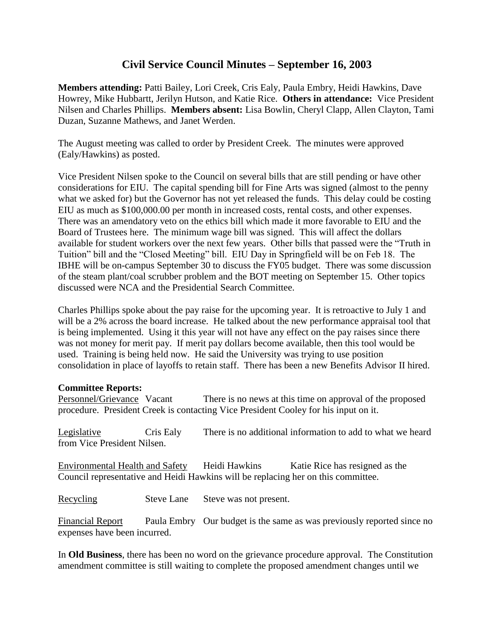## **Civil Service Council Minutes – September 16, 2003**

**Members attending:** Patti Bailey, Lori Creek, Cris Ealy, Paula Embry, Heidi Hawkins, Dave Howrey, Mike Hubbartt, Jerilyn Hutson, and Katie Rice. **Others in attendance:** Vice President Nilsen and Charles Phillips. **Members absent:** Lisa Bowlin, Cheryl Clapp, Allen Clayton, Tami Duzan, Suzanne Mathews, and Janet Werden.

The August meeting was called to order by President Creek. The minutes were approved (Ealy/Hawkins) as posted.

Vice President Nilsen spoke to the Council on several bills that are still pending or have other considerations for EIU. The capital spending bill for Fine Arts was signed (almost to the penny what we asked for) but the Governor has not yet released the funds. This delay could be costing EIU as much as \$100,000.00 per month in increased costs, rental costs, and other expenses. There was an amendatory veto on the ethics bill which made it more favorable to EIU and the Board of Trustees here. The minimum wage bill was signed. This will affect the dollars available for student workers over the next few years. Other bills that passed were the "Truth in Tuition" bill and the "Closed Meeting" bill. EIU Day in Springfield will be on Feb 18. The IBHE will be on-campus September 30 to discuss the FY05 budget. There was some discussion of the steam plant/coal scrubber problem and the BOT meeting on September 15. Other topics discussed were NCA and the Presidential Search Committee.

Charles Phillips spoke about the pay raise for the upcoming year. It is retroactive to July 1 and will be a 2% across the board increase. He talked about the new performance appraisal tool that is being implemented. Using it this year will not have any effect on the pay raises since there was not money for merit pay. If merit pay dollars become available, then this tool would be used. Training is being held now. He said the University was trying to use position consolidation in place of layoffs to retain staff. There has been a new Benefits Advisor II hired.

## **Committee Reports:**

Personnel/Grievance Vacant There is no news at this time on approval of the proposed procedure. President Creek is contacting Vice President Cooley for his input on it.

Legislative Cris Ealy There is no additional information to add to what we heard from Vice President Nilsen.

Environmental Health and Safety Heidi Hawkins Katie Rice has resigned as the Council representative and Heidi Hawkins will be replacing her on this committee.

Recycling Steve Lane Steve was not present.

Financial Report Paula Embry Our budget is the same as was previously reported since no expenses have been incurred.

In **Old Business**, there has been no word on the grievance procedure approval. The Constitution amendment committee is still waiting to complete the proposed amendment changes until we